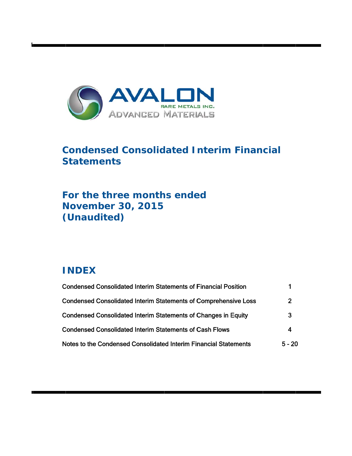

# **Condensed Consolidated Interim Financial S Statem ents**

# For the three months ended **N Novem ber 30, , 2015** (Unaudited)

# **I INDEX**

t

| <b>Condensed Consolidated Interim Statements of Financial Position</b> |          |
|------------------------------------------------------------------------|----------|
| <b>Condensed Consolidated Interim Statements of Comprehensive Loss</b> | 2        |
| <b>Condensed Consolidated Interim Statements of Changes in Equity</b>  | 3        |
| <b>Condensed Consolidated Interim Statements of Cash Flows</b>         | 4        |
| Notes to the Condensed Consolidated Interim Financial Statements       | $5 - 20$ |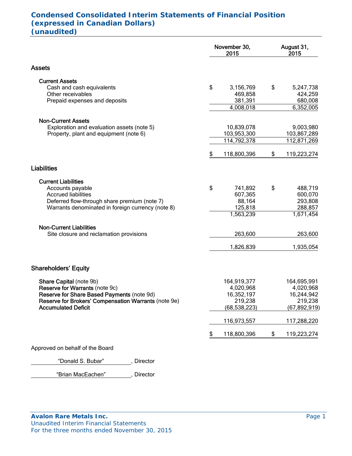# **Condensed Consolidated Interim Statements of Financial Position (expressed in Canadian Dollars) (unaudited)**

|                                                                                                    | November 30,<br>2015      | August 31,<br>2015       |
|----------------------------------------------------------------------------------------------------|---------------------------|--------------------------|
| <b>Assets</b>                                                                                      |                           |                          |
| <b>Current Assets</b><br>Cash and cash equivalents                                                 | \$<br>3,156,769           | \$<br>5,247,738          |
| Other receivables<br>Prepaid expenses and deposits                                                 | 469,858<br>381,391        | 424,259<br>680,008       |
|                                                                                                    | 4,008,018                 | 6,352,005                |
| <b>Non-Current Assets</b>                                                                          |                           |                          |
| Exploration and evaluation assets (note 5)<br>Property, plant and equipment (note 6)               | 10,839,078<br>103,953,300 | 9,003,980<br>103,867,289 |
|                                                                                                    | 114,792,378               | 112,871,269              |
|                                                                                                    | \$<br>118,800,396         | \$<br>119,223,274        |
| <b>Liabilities</b>                                                                                 |                           |                          |
| <b>Current Liabilities</b>                                                                         |                           |                          |
| Accounts payable<br><b>Accrued liabilities</b>                                                     | \$<br>741,892<br>607,365  | \$<br>488,719<br>600,070 |
| Deferred flow-through share premium (note 7)                                                       | 88,164                    | 293,808                  |
| Warrants denominated in foreign currency (note 8)                                                  | 125,818<br>1,563,239      | 288,857<br>1,671,454     |
| <b>Non-Current Liabilities</b>                                                                     |                           |                          |
| Site closure and reclamation provisions                                                            | 263,600                   | 263,600                  |
|                                                                                                    | 1,826,839                 | 1,935,054                |
| <b>Shareholders' Equity</b>                                                                        |                           |                          |
| Share Capital (note 9b)                                                                            | 164,919,377               | 164,695,991              |
| Reserve for Warrants (note 9c)                                                                     | 4,020,968                 | 4,020,968                |
| Reserve for Share Based Payments (note 9d)<br>Reserve for Brokers' Compensation Warrants (note 9e) | 16,352,197<br>219,238     | 16,244,942<br>219,238    |
| <b>Accumulated Deficit</b>                                                                         | (68, 538, 223)            | (67,892,919)             |
|                                                                                                    | 116,973,557               | 117,288,220              |
|                                                                                                    | \$<br>118,800,396         | \$<br>119,223,274        |
| Approved on behalf of the Board                                                                    |                           |                          |

"Donald S. Bubar" , Director

"Brian MacEachen" , Director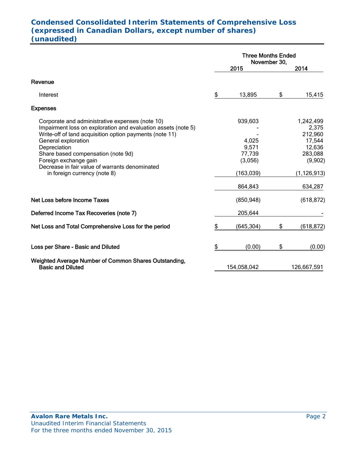# **Condensed Consolidated Interim Statements of Comprehensive Loss (expressed in Canadian Dollars, except number of shares) (unaudited)**

|                                                                                                                                                                                                                                                                                                                                                                     | <b>Three Months Ended</b><br>November 30,                               |    |                                                                                                     |
|---------------------------------------------------------------------------------------------------------------------------------------------------------------------------------------------------------------------------------------------------------------------------------------------------------------------------------------------------------------------|-------------------------------------------------------------------------|----|-----------------------------------------------------------------------------------------------------|
|                                                                                                                                                                                                                                                                                                                                                                     | 2015                                                                    |    | 2014                                                                                                |
| Revenue                                                                                                                                                                                                                                                                                                                                                             |                                                                         |    |                                                                                                     |
| Interest                                                                                                                                                                                                                                                                                                                                                            | \$<br>13,895                                                            | \$ | 15,415                                                                                              |
| <b>Expenses</b>                                                                                                                                                                                                                                                                                                                                                     |                                                                         |    |                                                                                                     |
| Corporate and administrative expenses (note 10)<br>Impairment loss on exploration and evaluation assets (note 5)<br>Write-off of land acquisition option payments (note 11)<br>General exploration<br>Depreciation<br>Share based compensation (note 9d)<br>Foreign exchange gain<br>Decrease in fair value of warrants denominated<br>in foreign currency (note 8) | 939,603<br>4,025<br>9,571<br>77,739<br>(3,056)<br>(163, 039)<br>864,843 |    | 1,242,499<br>2,375<br>212,960<br>17,544<br>12,636<br>283,088<br>(9,902)<br>(1, 126, 913)<br>634,287 |
| Net Loss before Income Taxes                                                                                                                                                                                                                                                                                                                                        | (850, 948)                                                              |    | (618, 872)                                                                                          |
| Deferred Income Tax Recoveries (note 7)                                                                                                                                                                                                                                                                                                                             | 205,644                                                                 |    |                                                                                                     |
| Net Loss and Total Comprehensive Loss for the period                                                                                                                                                                                                                                                                                                                | \$<br>(645,304)                                                         | \$ | (618, 872)                                                                                          |
| Loss per Share - Basic and Diluted                                                                                                                                                                                                                                                                                                                                  | \$<br>(0.00)                                                            | \$ | (0.00)                                                                                              |
| Weighted Average Number of Common Shares Outstanding,<br><b>Basic and Diluted</b>                                                                                                                                                                                                                                                                                   | 154,058,042                                                             |    | 126,667,591                                                                                         |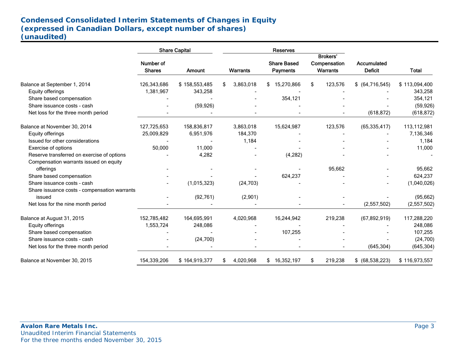# **Condensed Consolidated Interim Statements of Changes in Equity (expressed in Canadian Dollars, except number of shares) (unaudited)**

|                                              |                            | <b>Share Capital</b> | <b>Reserves</b> |                                       |                                             |                               |               |  |
|----------------------------------------------|----------------------------|----------------------|-----------------|---------------------------------------|---------------------------------------------|-------------------------------|---------------|--|
|                                              | Number of<br><b>Shares</b> | <b>Amount</b>        | Warrants        | <b>Share Based</b><br><b>Payments</b> | <b>Brokers'</b><br>Compensation<br>Warrants | Accumulated<br><b>Deficit</b> | <b>Total</b>  |  |
|                                              |                            |                      |                 |                                       |                                             |                               |               |  |
| Balance at September 1, 2014                 | 126,343,686                | \$158,553,485        | 3,863,018<br>\$ | 15,270,866                            | 123,576<br>\$                               | $$$ (64,716,545)              | \$113,094,400 |  |
| Equity offerings                             | 1,381,967                  | 343,258              |                 |                                       |                                             |                               | 343,258       |  |
| Share based compensation                     |                            |                      |                 | 354,121                               |                                             |                               | 354,121       |  |
| Share issuance costs - cash                  |                            | (59, 926)            |                 |                                       |                                             |                               | (59, 926)     |  |
| Net loss for the three month period          |                            |                      |                 |                                       |                                             | (618, 872)                    | (618, 872)    |  |
| Balance at November 30, 2014                 | 127,725,653                | 158,836,817          | 3,863,018       | 15,624,987                            | 123,576                                     | (65, 335, 417)                | 113,112,981   |  |
| Equity offerings                             | 25,009,829                 | 6,951,976            | 184,370         |                                       |                                             |                               | 7,136,346     |  |
| Issued for other considerations              |                            |                      | 1,184           |                                       |                                             |                               | 1,184         |  |
| Exercise of options                          | 50,000                     | 11,000               |                 |                                       |                                             |                               | 11,000        |  |
| Reserve transferred on exercise of options   |                            | 4,282                |                 | (4, 282)                              |                                             |                               |               |  |
| Compensation warrants issued on equity       |                            |                      |                 |                                       |                                             |                               |               |  |
| offerings                                    |                            |                      |                 |                                       | 95,662                                      |                               | 95,662        |  |
| Share based compensation                     |                            |                      |                 | 624,237                               |                                             |                               | 624,237       |  |
| Share issuance costs - cash                  |                            | (1,015,323)          | (24, 703)       |                                       |                                             |                               | (1,040,026)   |  |
| Share issuance costs - compensation warrants |                            |                      |                 |                                       |                                             |                               |               |  |
| issued                                       |                            | (92, 761)            | (2,901)         |                                       |                                             |                               | (95, 662)     |  |
| Net loss for the nine month period           |                            |                      |                 |                                       |                                             | (2,557,502)                   | (2,557,502)   |  |
| Balance at August 31, 2015                   | 152,785,482                | 164,695,991          | 4,020,968       | 16,244,942                            | 219,238                                     | (67, 892, 919)                | 117,288,220   |  |
| Equity offerings                             | 1,553,724                  | 248,086              |                 |                                       |                                             |                               | 248,086       |  |
| Share based compensation                     |                            |                      |                 | 107,255                               |                                             |                               | 107,255       |  |
| Share issuance costs - cash                  |                            | (24,700)             |                 |                                       |                                             |                               | (24,700)      |  |
| Net loss for the three month period          |                            |                      |                 |                                       |                                             | (645, 304)                    | (645, 304)    |  |
| Balance at November 30, 2015                 | 154,339,206                | \$164,919,377        | 4,020,968<br>S. | 16,352,197<br>\$.                     | 219,238<br>£.                               | \$ (68,538,223)               | \$116,973,557 |  |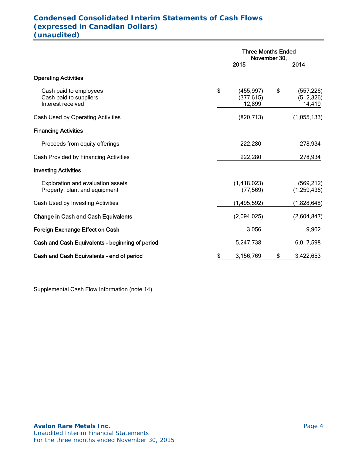### . **Condensed Consolidated Interim Statements of Cash Flows (expressed in Canadian Dollars) (unaudited)**

|                                                                       | <b>Three Months Ended</b><br>November 30, |    |                                    |  |
|-----------------------------------------------------------------------|-------------------------------------------|----|------------------------------------|--|
|                                                                       | 2015                                      |    | 2014                               |  |
| <b>Operating Activities</b>                                           |                                           |    |                                    |  |
| Cash paid to employees<br>Cash paid to suppliers<br>Interest received | \$<br>(455, 997)<br>(377, 615)<br>12,899  | \$ | (557, 226)<br>(512, 326)<br>14,419 |  |
| Cash Used by Operating Activities                                     | (820, 713)                                |    | (1,055,133)                        |  |
| <b>Financing Activities</b>                                           |                                           |    |                                    |  |
| Proceeds from equity offerings                                        | 222,280                                   |    | 278,934                            |  |
| Cash Provided by Financing Activities                                 | 222,280                                   |    | 278,934                            |  |
| <b>Investing Activities</b>                                           |                                           |    |                                    |  |
| Exploration and evaluation assets<br>Property, plant and equipment    | (1,418,023)<br>(77, 569)                  |    | (569, 212)<br>(1, 259, 436)        |  |
| Cash Used by Investing Activities                                     | (1,495,592)                               |    | (1,828,648)                        |  |
| <b>Change in Cash and Cash Equivalents</b>                            | (2,094,025)                               |    | (2,604,847)                        |  |
| Foreign Exchange Effect on Cash                                       | 3,056                                     |    | 9,902                              |  |
| Cash and Cash Equivalents - beginning of period                       | 5,247,738                                 |    | 6,017,598                          |  |
| Cash and Cash Equivalents - end of period                             | \$<br>3,156,769                           | \$ | 3,422,653                          |  |

Supplemental Cash Flow Information (note 14)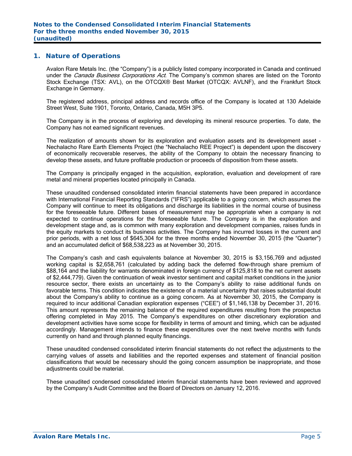#### **1. Nature of Operations**

Avalon Rare Metals Inc. (the "Company") is a publicly listed company incorporated in Canada and continued under the *Canada Business Corporations Act*. The Company's common shares are listed on the Toronto Stock Exchange (TSX: AVL), on the OTCQX® Best Market (OTCQX: AVLNF), and the Frankfurt Stock Exchange in Germany.

The registered address, principal address and records office of the Company is located at 130 Adelaide Street West, Suite 1901, Toronto, Ontario, Canada, M5H 3P5.

The Company is in the process of exploring and developing its mineral resource properties. To date, the Company has not earned significant revenues.

The realization of amounts shown for its exploration and evaluation assets and its development asset - Nechalacho Rare Earth Elements Project (the "Nechalacho REE Project") is dependent upon the discovery of economically recoverable reserves, the ability of the Company to obtain the necessary financing to develop these assets, and future profitable production or proceeds of disposition from these assets.

The Company is principally engaged in the acquisition, exploration, evaluation and development of rare metal and mineral properties located principally in Canada.

These unaudited condensed consolidated interim financial statements have been prepared in accordance with International Financial Reporting Standards ("IFRS") applicable to a going concern, which assumes the Company will continue to meet its obligations and discharge its liabilities in the normal course of business for the foreseeable future. Different bases of measurement may be appropriate when a company is not expected to continue operations for the foreseeable future. The Company is in the exploration and development stage and, as is common with many exploration and development companies, raises funds in the equity markets to conduct its business activities. The Company has incurred losses in the current and prior periods, with a net loss of \$645,304 for the three months ended November 30, 2015 (the "Quarter") and an accumulated deficit of \$68,538,223 as at November 30, 2015.

The Company's cash and cash equivalents balance at November 30, 2015 is \$3,156,769 and adjusted working capital is \$2,658,761 (calculated by adding back the deferred flow-through share premium of \$88,164 and the liability for warrants denominated in foreign currency of \$125,818 to the net current assets of \$2,444,779). Given the continuation of weak investor sentiment and capital market conditions in the junior resource sector, there exists an uncertainty as to the Company's ability to raise additional funds on favorable terms. This condition indicates the existence of a material uncertainty that raises substantial doubt about the Company's ability to continue as a going concern. As at November 30, 2015, the Company is required to incur additional Canadian exploration expenses ("CEE") of \$1,146,138 by December 31, 2016. This amount represents the remaining balance of the required expenditures resulting from the prospectus offering completed in May 2015. The Company's expenditures on other discretionary exploration and development activities have some scope for flexibility in terms of amount and timing, which can be adjusted accordingly. Management intends to finance these expenditures over the next twelve months with funds currently on hand and through planned equity financings.

These unaudited condensed consolidated interim financial statements do not reflect the adjustments to the carrying values of assets and liabilities and the reported expenses and statement of financial position classifications that would be necessary should the going concern assumption be inappropriate, and those adiustments could be material.

These unaudited condensed consolidated interim financial statements have been reviewed and approved by the Company's Audit Committee and the Board of Directors on January 12, 2016.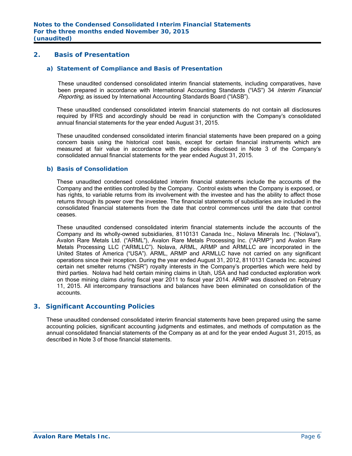## **2. Basis of Presentation**

#### *a) Statement of Compliance and Basis of Presentation*

These unaudited condensed consolidated interim financial statements, including comparatives, have been prepared in accordance with International Accounting Standards ("IAS") 34 Interim Financial Reporting, as issued by International Accounting Standards Board ("IASB").

These unaudited condensed consolidated interim financial statements do not contain all disclosures required by IFRS and accordingly should be read in conjunction with the Company's consolidated annual financial statements for the year ended August 31, 2015.

These unaudited condensed consolidated interim financial statements have been prepared on a going concern basis using the historical cost basis, except for certain financial instruments which are measured at fair value in accordance with the policies disclosed in Note 3 of the Company's consolidated annual financial statements for the year ended August 31, 2015.

#### *b) Basis of Consolidation*

These unaudited condensed consolidated interim financial statements include the accounts of the Company and the entities controlled by the Company. Control exists when the Company is exposed, or has rights, to variable returns from its involvement with the investee and has the ability to affect those returns through its power over the investee. The financial statements of subsidiaries are included in the consolidated financial statements from the date that control commences until the date that control ceases.

These unaudited condensed consolidated interim financial statements include the accounts of the Company and its wholly-owned subsidiaries, 8110131 Canada Inc., Nolava Minerals Inc. ("Nolava"), Avalon Rare Metals Ltd. ("ARML"), Avalon Rare Metals Processing Inc. ("ARMP") and Avalon Rare Metals Processing LLC ("ARMLLC"). Nolava, ARML, ARMP and ARMLLC are incorporated in the United States of America ("USA"). ARML, ARMP and ARMLLC have not carried on any significant operations since their inception. During the year ended August 31, 2012, 8110131 Canada Inc. acquired certain net smelter returns ("NSR") royalty interests in the Company's properties which were held by third parties. Nolava had held certain mining claims in Utah, USA and had conducted exploration work on those mining claims during fiscal year 2011 to fiscal year 2014. ARMP was dissolved on February 11, 2015. All intercompany transactions and balances have been eliminated on consolidation of the accounts.

### **3. Significant Accounting Policies**

These unaudited condensed consolidated interim financial statements have been prepared using the same accounting policies, significant accounting judgments and estimates, and methods of computation as the annual consolidated financial statements of the Company as at and for the year ended August 31, 2015, as described in Note 3 of those financial statements.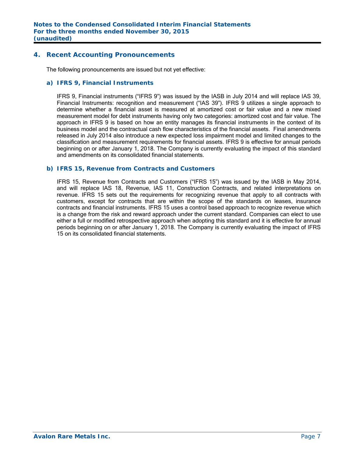## **4. Recent Accounting Pronouncements**

The following pronouncements are issued but not yet effective:

#### *a) IFRS 9, Financial Instruments*

IFRS 9, Financial instruments ("IFRS 9") was issued by the IASB in July 2014 and will replace IAS 39, Financial Instruments: recognition and measurement ("IAS 39"). IFRS 9 utilizes a single approach to determine whether a financial asset is measured at amortized cost or fair value and a new mixed measurement model for debt instruments having only two categories: amortized cost and fair value. The approach in IFRS 9 is based on how an entity manages its financial instruments in the context of its business model and the contractual cash flow characteristics of the financial assets. Final amendments released in July 2014 also introduce a new expected loss impairment model and limited changes to the classification and measurement requirements for financial assets. IFRS 9 is effective for annual periods beginning on or after January 1, 2018. The Company is currently evaluating the impact of this standard and amendments on its consolidated financial statements.

#### *b) IFRS 15, Revenue from Contracts and Customers*

IFRS 15, Revenue from Contracts and Customers ("IFRS 15") was issued by the IASB in May 2014, and will replace IAS 18, Revenue, IAS 11, Construction Contracts, and related interpretations on revenue. IFRS 15 sets out the requirements for recognizing revenue that apply to all contracts with customers, except for contracts that are within the scope of the standards on leases, insurance contracts and financial instruments. IFRS 15 uses a control based approach to recognize revenue which is a change from the risk and reward approach under the current standard. Companies can elect to use either a full or modified retrospective approach when adopting this standard and it is effective for annual periods beginning on or after January 1, 2018. The Company is currently evaluating the impact of IFRS 15 on its consolidated financial statements.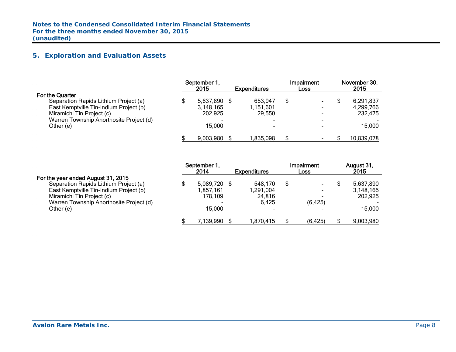## **5. Exploration and Evaluation Assets**

|                                         | September 1,<br>2015 | <b>Expenditures</b> | Impairment<br>Loss | November 30,<br>2015 |
|-----------------------------------------|----------------------|---------------------|--------------------|----------------------|
| <b>For the Quarter</b>                  |                      |                     |                    |                      |
| Separation Rapids Lithium Project (a)   | 5,637,890            | 653,947             | \$                 | 6,291,837            |
| East Kemptville Tin-Indium Project (b)  | 3,148,165            | 1,151,601           |                    | 4,299,766            |
| Miramichi Tin Project (c)               | 202,925              | 29.550              |                    | 232,475              |
| Warren Township Anorthosite Project (d) |                      |                     |                    |                      |
| Other (e)                               | 15,000               |                     |                    | 15,000               |
|                                         | 9,003,980            | 835,098.            |                    | 10,839,078           |

|                                         | September 1, |              |  | Impairment               | August 31,     |                     |      |      |
|-----------------------------------------|--------------|--------------|--|--------------------------|----------------|---------------------|------|------|
|                                         |              | 2014         |  |                          |                | <b>Expenditures</b> | Loss | 2015 |
| For the year ended August 31, 2015      |              |              |  |                          |                |                     |      |      |
| Separation Rapids Lithium Project (a)   |              | 5,089,720 \$ |  | 548,170                  | \$             | 5,637,890           |      |      |
| East Kemptville Tin-Indium Project (b)  |              | 1.857.161    |  | 1,291,004                | $\blacksquare$ | 3,148,165           |      |      |
| Miramichi Tin Project (c)               |              | 178,109      |  | 24,816                   |                | 202,925             |      |      |
| Warren Township Anorthosite Project (d) |              |              |  | 6,425                    | (6, 425)       |                     |      |      |
| Other (e)                               |              | 15.000       |  | $\overline{\phantom{0}}$ |                | 15,000              |      |      |
|                                         |              | 7,139,990    |  | 1,870,415                | (6, 425)       | 9,003,980           |      |      |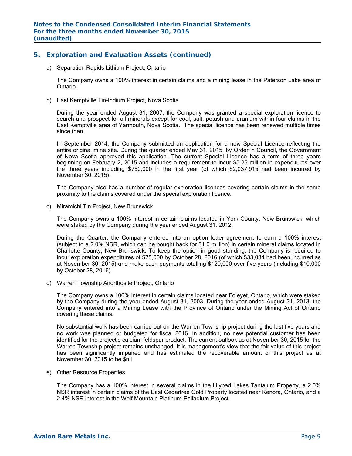## **5. Exploration and Evaluation Assets (continued)**

a) Separation Rapids Lithium Project, Ontario

The Company owns a 100% interest in certain claims and a mining lease in the Paterson Lake area of Ontario.

b) East Kemptville Tin-Indium Project, Nova Scotia

During the year ended August 31, 2007, the Company was granted a special exploration licence to search and prospect for all minerals except for coal, salt, potash and uranium within four claims in the East Kemptville area of Yarmouth, Nova Scotia. The special licence has been renewed multiple times since then.

In September 2014, the Company submitted an application for a new Special Licence reflecting the entire original mine site. During the quarter ended May 31, 2015, by Order in Council, the Government of Nova Scotia approved this application. The current Special Licence has a term of three years beginning on February 2, 2015 and includes a requirement to incur \$5.25 million in expenditures over the three years including \$750,000 in the first year (of which \$2,037,915 had been incurred by November 30, 2015).

The Company also has a number of regular exploration licences covering certain claims in the same proximity to the claims covered under the special exploration licence.

c) Miramichi Tin Project, New Brunswick

The Company owns a 100% interest in certain claims located in York County, New Brunswick, which were staked by the Company during the year ended August 31, 2012.

During the Quarter, the Company entered into an option letter agreement to earn a 100% interest (subject to a 2.0% NSR, which can be bought back for \$1.0 million) in certain mineral claims located in Charlotte County, New Brunswick. To keep the option in good standing, the Company is required to incur exploration expenditures of \$75,000 by October 28, 2016 (of which \$33,034 had been incurred as at November 30, 2015) and make cash payments totalling \$120,000 over five years (including \$10,000 by October 28, 2016).

d) Warren Township Anorthosite Project, Ontario

The Company owns a 100% interest in certain claims located near Foleyet, Ontario, which were staked by the Company during the year ended August 31, 2003. During the year ended August 31, 2013, the Company entered into a Mining Lease with the Province of Ontario under the Mining Act of Ontario covering these claims.

No substantial work has been carried out on the Warren Township project during the last five years and no work was planned or budgeted for fiscal 2016. In addition, no new potential customer has been identified for the project's calcium feldspar product. The current outlook as at November 30, 2015 for the Warren Township project remains unchanged. It is management's view that the fair value of this project has been significantly impaired and has estimated the recoverable amount of this project as at November 30, 2015 to be \$nil.

e) Other Resource Properties

The Company has a 100% interest in several claims in the Lilypad Lakes Tantalum Property, a 2.0% NSR interest in certain claims of the East Cedartree Gold Property located near Kenora, Ontario, and a 2.4% NSR interest in the Wolf Mountain Platinum-Palladium Project.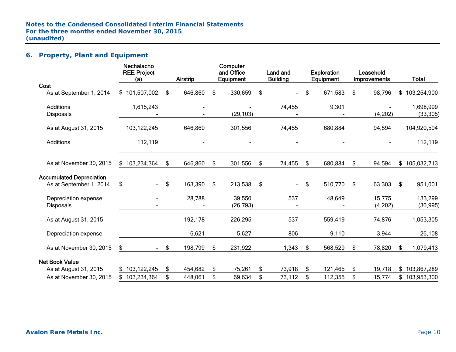## **6. Property, Plant and Equipment**

|                                 | Nechalacho<br><b>REE Project</b><br>(a) | Airstrip      | Computer<br>and Office<br>Equipment | Land and<br><b>Building</b> | <b>Exploration</b><br>Equipment | Leasehold<br>Improvements | <b>Total</b>      |
|---------------------------------|-----------------------------------------|---------------|-------------------------------------|-----------------------------|---------------------------------|---------------------------|-------------------|
| Cost                            |                                         |               |                                     |                             |                                 |                           |                   |
| As at September 1, 2014         | \$101,507,002                           | \$<br>646,860 | \$<br>330,659                       | \$                          | \$<br>671,583                   | \$<br>98,796              | \$<br>103,254,900 |
| <b>Additions</b>                | 1,615,243                               |               |                                     | 74,455                      | 9,301                           |                           | 1,698,999         |
| <b>Disposals</b>                |                                         |               | (29, 103)                           |                             |                                 | (4,202)                   | (33, 305)         |
| As at August 31, 2015           | 103,122,245                             | 646,860       | 301,556                             | 74,455                      | 680,884                         | 94,594                    | 104,920,594       |
| <b>Additions</b>                | 112,119                                 |               |                                     |                             |                                 |                           | 112,119           |
| As at November 30, 2015         | \$103,234,364                           | \$<br>646,860 | \$<br>301,556                       | \$<br>74,455                | \$<br>680,884                   | \$<br>94,594              | \$<br>105,032,713 |
| <b>Accumulated Depreciation</b> |                                         |               |                                     |                             |                                 |                           |                   |
| As at September 1, 2014         | \$<br>$\blacksquare$                    | \$<br>163,390 | \$<br>213,538                       | \$<br>$\sim$                | \$<br>510,770                   | \$<br>63,303              | \$<br>951,001     |
| Depreciation expense            |                                         | 28,788        | 39,550                              | 537                         | 48,649                          | 15,775                    | 133,299           |
| <b>Disposals</b>                |                                         |               | (26, 793)                           |                             |                                 | (4,202)                   | (30, 995)         |
| As at August 31, 2015           |                                         | 192,178       | 226,295                             | 537                         | 559,419                         | 74,876                    | 1,053,305         |
| Depreciation expense            |                                         | 6,621         | 5,627                               | 806                         | 9,110                           | 3,944                     | 26,108            |
| As at November 30, 2015         | \$                                      | \$<br>198,799 | \$<br>231,922                       | 1,343                       | \$<br>568,529                   | \$<br>78,820              | \$<br>1,079,413   |
| <b>Net Book Value</b>           |                                         |               |                                     |                             |                                 |                           |                   |
| As at August 31, 2015           | \$103,122,245                           | \$<br>454,682 | \$<br>75,261                        | \$<br>73,918                | \$<br>121,465                   | \$<br>19,718              | \$103,867,289     |
| As at November 30, 2015         | \$103,234,364                           | \$<br>448,061 | \$<br>69,634                        | \$<br>73,112                | \$<br>112,355                   | \$<br>15,774              | \$<br>103,953,300 |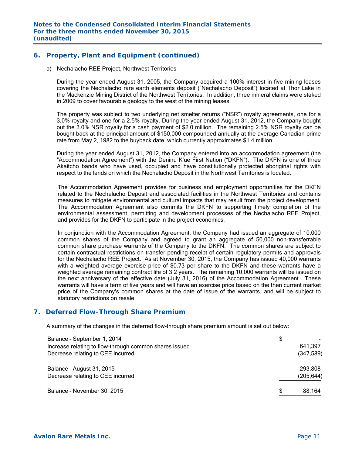## **6. Property, Plant and Equipment (continued)**

a) Nechalacho REE Project, Northwest Territories

During the year ended August 31, 2005, the Company acquired a 100% interest in five mining leases covering the Nechalacho rare earth elements deposit ("Nechalacho Deposit") located at Thor Lake in the Mackenzie Mining District of the Northwest Territories. In addition, three mineral claims were staked in 2009 to cover favourable geology to the west of the mining leases.

The property was subject to two underlying net smelter returns ("NSR") royalty agreements, one for a 3.0% royalty and one for a 2.5% royalty. During the year ended August 31, 2012, the Company bought out the 3.0% NSR royalty for a cash payment of \$2.0 million. The remaining 2.5% NSR royalty can be bought back at the principal amount of \$150,000 compounded annually at the average Canadian prime rate from May 2, 1982 to the buyback date, which currently approximates \$1.4 million.

During the year ended August 31, 2012, the Company entered into an accommodation agreement (the "Accommodation Agreement") with the Deninu K'ue First Nation ("DKFN"). The DKFN is one of three Akaitcho bands who have used, occupied and have constitutionally protected aboriginal rights with respect to the lands on which the Nechalacho Deposit in the Northwest Territories is located.

The Accommodation Agreement provides for business and employment opportunities for the DKFN related to the Nechalacho Deposit and associated facilities in the Northwest Territories and contains measures to mitigate environmental and cultural impacts that may result from the project development. The Accommodation Agreement also commits the DKFN to supporting timely completion of the environmental assessment, permitting and development processes of the Nechalacho REE Project, and provides for the DKFN to participate in the project economics.

In conjunction with the Accommodation Agreement, the Company had issued an aggregate of 10,000 common shares of the Company and agreed to grant an aggregate of 50,000 non-transferrable common share purchase warrants of the Company to the DKFN. The common shares are subject to certain contractual restrictions on transfer pending receipt of certain regulatory permits and approvals for the Nechalacho REE Project. As at November 30, 2015, the Company has issued 40,000 warrants with a weighted average exercise price of \$0.73 per share to the DKFN and these warrants have a weighted average remaining contract life of 3.2 years. The remaining 10,000 warrants will be issued on the next anniversary of the effective date (July 31, 2016) of the Accommodation Agreement. These warrants will have a term of five years and will have an exercise price based on the then current market price of the Company's common shares at the date of issue of the warrants, and will be subject to statutory restrictions on resale.

## **7. Deferred Flow-Through Share Premium**

A summary of the changes in the deferred flow-through share premium amount is set out below:

| Balance - September 1, 2014                            | \$           |
|--------------------------------------------------------|--------------|
| Increase relating to flow-through common shares issued | 641,397      |
| Decrease relating to CEE incurred                      | (347, 589)   |
| Balance - August 31, 2015                              | 293,808      |
| Decrease relating to CEE incurred                      | (205, 644)   |
| Balance - November 30, 2015                            | \$<br>88,164 |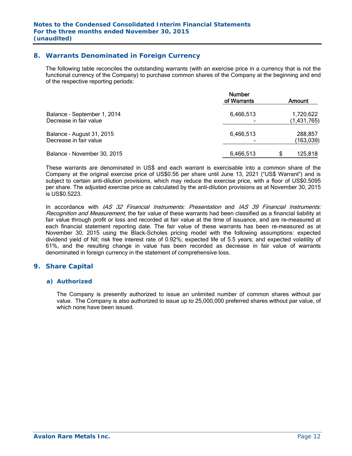## **8. Warrants Denominated in Foreign Currency**

The following table reconciles the outstanding warrants (with an exercise price in a currency that is not the functional currency of the Company) to purchase common shares of the Company at the beginning and end of the respective reporting periods:

|                                                       | <b>Number</b><br>of Warrants | Amount                   |
|-------------------------------------------------------|------------------------------|--------------------------|
| Balance - September 1, 2014<br>Decrease in fair value | 6,466,513                    | 1,720,622<br>(1,431,765) |
| Balance - August 31, 2015<br>Decrease in fair value   | 6,466,513                    | 288,857<br>(163,039)     |
| Balance - November 30, 2015                           | 6,466,513                    | 125,818                  |

These warrants are denominated in US\$ and each warrant is exercisable into a common share of the Company at the original exercise price of US\$0.56 per share until June 13, 2021 ("US\$ Warrant") and is subject to certain anti-dilution provisions, which may reduce the exercise price, with a floor of US\$0.5095 per share. The adjusted exercise price as calculated by the anti-dilution provisions as at November 30, 2015 is US\$0.5223.

In accordance with IAS 32 Financial Instruments: Presentation and IAS 39 Financial Instruments: Recognition and Measurement, the fair value of these warrants had been classified as a financial liability at fair value through profit or loss and recorded at fair value at the time of issuance, and are re-measured at each financial statement reporting date. The fair value of these warrants has been re-measured as at November 30, 2015 using the Black-Scholes pricing model with the following assumptions: expected dividend yield of Nil; risk free interest rate of 0.92%; expected life of 5.5 years; and expected volatility of 61%, and the resulting change in value has been recorded as decrease in fair value of warrants denominated in foreign currency in the statement of comprehensive loss.

## **9. Share Capital**

#### *a) Authorized*

The Company is presently authorized to issue an unlimited number of common shares without par value. The Company is also authorized to issue up to 25,000,000 preferred shares without par value, of which none have been issued.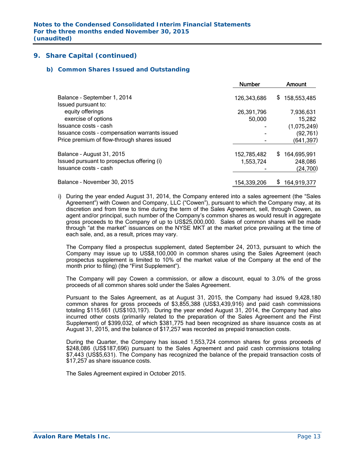#### *b) Common Shares Issued and Outstanding*

|                                               | <b>Number</b> | <b>Amount</b>     |
|-----------------------------------------------|---------------|-------------------|
| Balance - September 1, 2014                   | 126,343,686   | \$<br>158,553,485 |
| Issued pursuant to:                           |               |                   |
| equity offerings                              | 26,391,796    | 7,936,631         |
| exercise of options                           | 50,000        | 15,282            |
| Issuance costs - cash                         |               | (1,075,249)       |
| Issuance costs - compensation warrants issued |               | (92, 761)         |
| Price premium of flow-through shares issued   |               | (641, 397)        |
| Balance - August 31, 2015                     | 152,785,482   | \$<br>164,695,991 |
| Issued pursuant to prospectus offering (i)    | 1,553,724     | 248,086           |
| Issuance costs - cash                         |               | (24,700)          |
| Balance - November 30, 2015                   | 154,339,206   | \$<br>164,919,377 |

i) During the year ended August 31, 2014, the Company entered into a sales agreement (the "Sales Agreement") with Cowen and Company, LLC ("Cowen"), pursuant to which the Company may, at its discretion and from time to time during the term of the Sales Agreement, sell, through Cowen, as agent and/or principal, such number of the Company's common shares as would result in aggregate gross proceeds to the Company of up to US\$25,000,000. Sales of common shares will be made through "at the market" issuances on the NYSE MKT at the market price prevailing at the time of each sale, and, as a result, prices may vary.

The Company filed a prospectus supplement, dated September 24, 2013, pursuant to which the Company may issue up to US\$8,100,000 in common shares using the Sales Agreement (each prospectus supplement is limited to 10% of the market value of the Company at the end of the month prior to filing) (the "First Supplement").

The Company will pay Cowen a commission, or allow a discount, equal to 3.0% of the gross proceeds of all common shares sold under the Sales Agreement.

Pursuant to the Sales Agreement, as at August 31, 2015, the Company had issued 9,428,180 common shares for gross proceeds of \$3,855,388 (US\$3,439,916) and paid cash commissions totaling \$115,661 (US\$103,197). During the year ended August 31, 2014, the Company had also incurred other costs (primarily related to the preparation of the Sales Agreement and the First Supplement) of \$399,032, of which \$381,775 had been recognized as share issuance costs as at August 31, 2015, and the balance of \$17,257 was recorded as prepaid transaction costs.

During the Quarter, the Company has issued 1,553,724 common shares for gross proceeds of \$248,086 (US\$187,696) pursuant to the Sales Agreement and paid cash commissions totaling \$7,443 (US\$5,631). The Company has recognized the balance of the prepaid transaction costs of \$17,257 as share issuance costs.

The Sales Agreement expired in October 2015.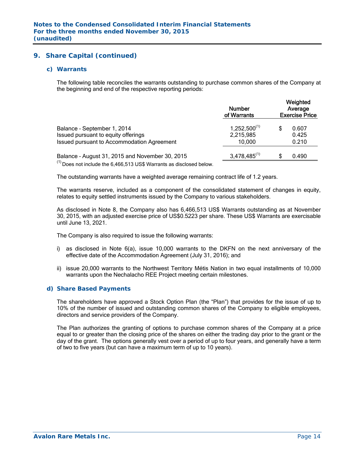#### *c) Warrants*

The following table reconciles the warrants outstanding to purchase common shares of the Company at the beginning and end of the respective reporting periods:

|                                                                                                                  | <b>Number</b><br>of Warrants             | Weighted<br>Average<br><b>Exercise Price</b> |                         |  |  |
|------------------------------------------------------------------------------------------------------------------|------------------------------------------|----------------------------------------------|-------------------------|--|--|
| Balance - September 1, 2014<br>Issued pursuant to equity offerings<br>Issued pursuant to Accommodation Agreement | $1,252,500^{(1)}$<br>2,215,985<br>10.000 |                                              | 0.607<br>0.425<br>0.210 |  |  |
| Balance - August 31, 2015 and November 30, 2015<br>(1)                                                           | $3,478,485^{(1)}$                        |                                              | 0.490                   |  |  |

 $<sup>(1)</sup>$  Does not include the 6,466,513 US\$ Warrants as disclosed below.</sup>

The outstanding warrants have a weighted average remaining contract life of 1.2 years.

The warrants reserve, included as a component of the consolidated statement of changes in equity, relates to equity settled instruments issued by the Company to various stakeholders.

As disclosed in Note 8, the Company also has 6,466,513 US\$ Warrants outstanding as at November 30, 2015, with an adjusted exercise price of US\$0.5223 per share. These US\$ Warrants are exercisable until June 13, 2021.

The Company is also required to issue the following warrants:

- i) as disclosed in Note 6(a), issue 10,000 warrants to the DKFN on the next anniversary of the effective date of the Accommodation Agreement (July 31, 2016); and
- ii) issue 20,000 warrants to the Northwest Territory Métis Nation in two equal installments of 10,000 warrants upon the Nechalacho REE Project meeting certain milestones.

#### *d) Share Based Payments*

The shareholders have approved a Stock Option Plan (the "Plan") that provides for the issue of up to 10% of the number of issued and outstanding common shares of the Company to eligible employees, directors and service providers of the Company.

The Plan authorizes the granting of options to purchase common shares of the Company at a price equal to or greater than the closing price of the shares on either the trading day prior to the grant or the day of the grant. The options generally vest over a period of up to four years, and generally have a term of two to five years (but can have a maximum term of up to 10 years).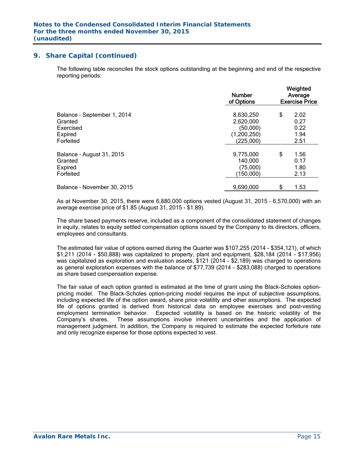The following table reconciles the stock options outstanding at the beginning and end of the respective reporting periods:

|                             | <b>Number</b><br>of Options | Weighted<br>Average<br><b>Exercise Price</b> |      |  |
|-----------------------------|-----------------------------|----------------------------------------------|------|--|
| Balance - September 1, 2014 | 8,630,250                   | \$                                           | 2.02 |  |
| Granted                     | 2,620,000                   |                                              | 0.27 |  |
| Exercised                   | (50,000)                    |                                              | 0.22 |  |
| Expired                     | (1,200,250)                 |                                              | 1.94 |  |
| Forfeited                   | (225,000)                   |                                              | 2.51 |  |
| Balance - August 31, 2015   | 9,775,000                   | \$                                           | 1.56 |  |
| Granted                     | 140,000                     |                                              | 0.17 |  |
| Expired                     | (75,000)                    |                                              | 1.80 |  |
| Forfeited                   | (150,000)                   |                                              | 2.13 |  |
| Balance - November 30, 2015 | 9,690,000                   | \$                                           | 1.53 |  |

As at November 30, 2015, there were 6,880,000 options vested (August 31, 2015 – 6,570,000) with an average exercise price of \$1.85 (August 31, 2015 - \$1.89).

The share based payments reserve, included as a component of the consolidated statement of changes in equity, relates to equity settled compensation options issued by the Company to its directors, officers, employees and consultants.

The estimated fair value of options earned during the Quarter was \$107,255 (2014 - \$354,121), of which \$1,211 (2014 - \$50,888) was capitalized to property, plant and equipment, \$28,184 (2014 - \$17,956) was capitalized as exploration and evaluation assets, \$121 (2014 - \$2,189) was charged to operations as general exploration expenses with the balance of \$77,739 (2014 - \$283,088) charged to operations as share based compensation expense.

The fair value of each option granted is estimated at the time of grant using the Black-Scholes optionpricing model. The Black-Scholes option-pricing model requires the input of subjective assumptions, including expected life of the option award, share price volatility and other assumptions. The expected life of options granted is derived from historical data on employee exercises and post-vesting employment termination behavior. Expected volatility is based on the historic volatility of the Company's shares. These assumptions involve inherent uncertainties and the application of management judgment. In addition, the Company is required to estimate the expected forfeiture rate and only recognize expense for those options expected to vest.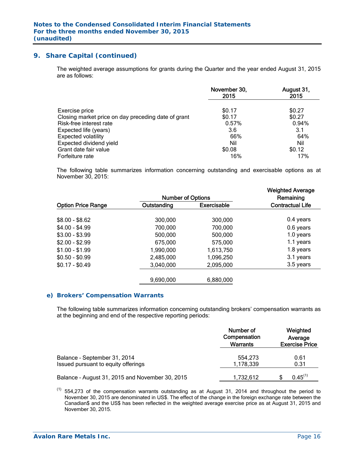The weighted average assumptions for grants during the Quarter and the year ended August 31, 2015 are as follows:

|                                                     | November 30,<br>2015 | August 31,<br>2015 |
|-----------------------------------------------------|----------------------|--------------------|
| Exercise price                                      | \$0.17               | \$0.27             |
| Closing market price on day preceding date of grant | \$0.17               | \$0.27             |
| Risk-free interest rate                             | 0.57%                | 0.94%              |
| Expected life (years)                               | 3.6                  | 3.1                |
| <b>Expected volatility</b>                          | 66%                  | 64%                |
| Expected dividend yield                             | Nil                  | Nil                |
| Grant date fair value                               | \$0.08               | \$0.12             |
| Forfeiture rate                                     | 16%                  | 17%                |

The following table summarizes information concerning outstanding and exercisable options as at November 30, 2015:

|                           | <b>Number of Options</b> |                    | <b>Weighted Average</b><br>Remaining |
|---------------------------|--------------------------|--------------------|--------------------------------------|
| <b>Option Price Range</b> | Outstanding              | <b>Exercisable</b> | <b>Contractual Life</b>              |
| $$8.00 - $8.62$           | 300,000                  | 300,000            | 0.4 years                            |
| $$4.00 - $4.99$           | 700,000                  | 700,000            | 0.6 years                            |
| $$3.00 - $3.99$           | 500,000                  | 500,000            | 1.0 years                            |
| $$2.00 - $2.99$           | 675,000                  | 575,000            | 1.1 years                            |
| $$1.00 - $1.99$           | 1,990,000                | 1,613,750          | 1.8 years                            |
| $$0.50 - $0.99$           | 2,485,000                | 1,096,250          | 3.1 years                            |
| $$0.17 - $0.49$           | 3,040,000                | 2,095,000          | 3.5 years                            |
|                           | 9,690,000                | 6,880,000          |                                      |

#### *e) Brokers' Compensation Warrants*

The following table summarizes information concerning outstanding brokers' compensation warrants as at the beginning and end of the respective reporting periods:

|                                                                     | Number of<br>Compensation<br><b>Warrants</b> | Weighted<br>Average<br><b>Exercise Price</b> |
|---------------------------------------------------------------------|----------------------------------------------|----------------------------------------------|
| Balance - September 31, 2014<br>Issued pursuant to equity offerings | 554,273<br>1,178,339                         | 0.61<br>0.31                                 |
| Balance - August 31, 2015 and November 30, 2015                     | 1,732,612                                    | $0.45^{(1)}$                                 |

 $(1)$  554,273 of the compensation warrants outstanding as at August 31, 2014 and throughout the period to November 30, 2015 are denominated in US\$. The effect of the change in the foreign exchange rate between the Canadian\$ and the US\$ has been reflected in the weighted average exercise price as at August 31, 2015 and November 30, 2015.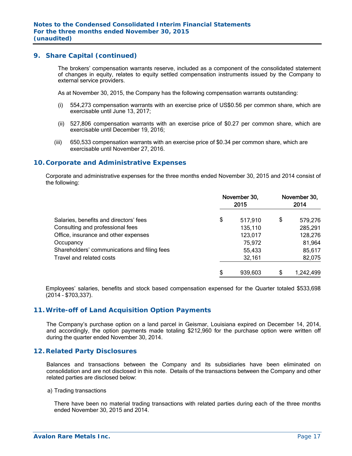The brokers' compensation warrants reserve, included as a component of the consolidated statement of changes in equity, relates to equity settled compensation instruments issued by the Company to external service providers.

As at November 30, 2015, the Company has the following compensation warrants outstanding:

- (i) 554,273 compensation warrants with an exercise price of US\$0.56 per common share, which are exercisable until June 13, 2017;
- (ii) 527,806 compensation warrants with an exercise price of \$0.27 per common share, which are exercisable until December 19, 2016;
- (iii) 650,533 compensation warrants with an exercise price of \$0.34 per common share, which are exercisable until November 27, 2016.

### **10. Corporate and Administrative Expenses**

 Corporate and administrative expenses for the three months ended November 30, 2015 and 2014 consist of the following:

|                                              | November 30,<br>2015 | November 30,<br>2014 |           |  |
|----------------------------------------------|----------------------|----------------------|-----------|--|
| Salaries, benefits and directors' fees       | \$<br>517,910        | \$                   | 579,276   |  |
| Consulting and professional fees             | 135,110              |                      | 285,291   |  |
| Office, insurance and other expenses         | 123,017              |                      | 128,276   |  |
| Occupancy                                    | 75,972               |                      | 81,964    |  |
| Shareholders' communications and filing fees | 55,433               |                      | 85,617    |  |
| Travel and related costs                     | 32,161               |                      | 82,075    |  |
|                                              | \$<br>939,603        | \$                   | 1,242,499 |  |

Employees' salaries, benefits and stock based compensation expensed for the Quarter totaled \$533,698 (2014 – \$703,337).

## **11. Write-off of Land Acquisition Option Payments**

The Company's purchase option on a land parcel in Geismar, Louisiana expired on December 14, 2014, and accordingly, the option payments made totaling \$212,960 for the purchase option were written off during the quarter ended November 30, 2014.

### **12. Related Party Disclosures**

Balances and transactions between the Company and its subsidiaries have been eliminated on consolidation and are not disclosed in this note. Details of the transactions between the Company and other related parties are disclosed below:

#### a) Trading transactions

There have been no material trading transactions with related parties during each of the three months ended November 30, 2015 and 2014.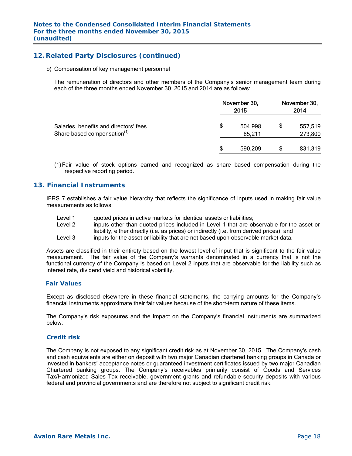## **12. Related Party Disclosures (continued)**

b) Compensation of key management personnel

The remuneration of directors and other members of the Company's senior management team during each of the three months ended November 30, 2015 and 2014 are as follows:

|                                                                                   | November 30, | November 30,<br>2014 |    |                    |
|-----------------------------------------------------------------------------------|--------------|----------------------|----|--------------------|
| Salaries, benefits and directors' fees<br>Share based compensation <sup>(1)</sup> | \$           | 504,998<br>85,211    | \$ | 557,519<br>273,800 |
|                                                                                   |              | 590,209              |    | 831,319            |

(1)Fair value of stock options earned and recognized as share based compensation during the respective reporting period.

### **13. Financial Instruments**

IFRS 7 establishes a fair value hierarchy that reflects the significance of inputs used in making fair value measurements as follows:

- Level 1 quoted prices in active markets for identical assets or liabilities;
- Level 2 inputs other than quoted prices included in Level 1 that are observable for the asset or liability, either directly (i.e. as prices) or indirectly (i.e. from derived prices); and
- Level 3 inputs for the asset or liability that are not based upon observable market data.

Assets are classified in their entirety based on the lowest level of input that is significant to the fair value measurement. The fair value of the Company's warrants denominated in a currency that is not the functional currency of the Company is based on Level 2 inputs that are observable for the liability such as interest rate, dividend yield and historical volatility.

#### *Fair Values*

Except as disclosed elsewhere in these financial statements, the carrying amounts for the Company's financial instruments approximate their fair values because of the short-term nature of these items.

The Company's risk exposures and the impact on the Company's financial instruments are summarized below:

#### *Credit risk*

The Company is not exposed to any significant credit risk as at November 30, 2015. The Company's cash and cash equivalents are either on deposit with two major Canadian chartered banking groups in Canada or invested in bankers' acceptance notes or guaranteed investment certificates issued by two major Canadian Chartered banking groups. The Company's receivables primarily consist of Goods and Services Tax/Harmonized Sales Tax receivable, government grants and refundable security deposits with various federal and provincial governments and are therefore not subject to significant credit risk.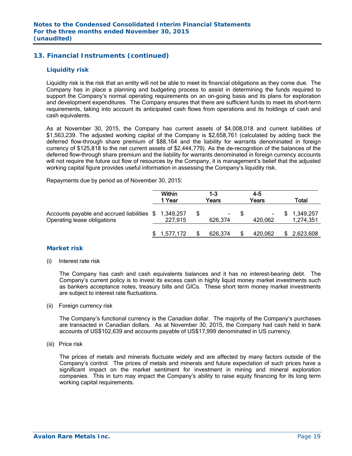## **13. Financial Instruments (continued)**

#### *Liquidity risk*

Liquidity risk is the risk that an entity will not be able to meet its financial obligations as they come due. The Company has in place a planning and budgeting process to assist in determining the funds required to support the Company's normal operating requirements on an on-going basis and its plans for exploration and development expenditures. The Company ensures that there are sufficient funds to meet its short-term requirements, taking into account its anticipated cash flows from operations and its holdings of cash and cash equivalents.

As at November 30, 2015, the Company has current assets of \$4,008,018 and current liabilities of \$1,563,239. The adjusted working capital of the Company is \$2,658,761 (calculated by adding back the deferred flow-through share premium of \$88,164 and the liability for warrants denominated in foreign currency of \$125,818 to the net current assets of \$2,444,779). As the de-recognition of the balances of the deferred flow-through share premium and the liability for warrants denominated in foreign currency accounts will not require the future out flow of resources by the Company, it is management's belief that the adjusted working capital figure provides useful information in assessing the Company's liquidity risk.

Repayments due by period as of November 30, 2015:

|                                                                                      | <b>Within</b><br>1 Year | 1-3<br>Years      | 4-5<br>Years      |    | Total                  |
|--------------------------------------------------------------------------------------|-------------------------|-------------------|-------------------|----|------------------------|
| Accounts payable and accrued liabilities \$ 1,349,257<br>Operating lease obligations | 227.915                 | $\sim$<br>626,374 | $\sim$<br>420,062 | S. | 1,349,257<br>1,274,351 |
|                                                                                      | 1,577,172               | 626,374           | 420,062           |    | \$2,623,608            |

### *Market risk*

(i) Interest rate risk

 The Company has cash and cash equivalents balances and it has no interest-bearing debt. The Company's current policy is to invest its excess cash in highly liquid money market investments such as bankers acceptance notes, treasury bills and GICs. These short term money market investments are subject to interest rate fluctuations.

(ii) Foreign currency risk

 The Company's functional currency is the Canadian dollar. The majority of the Company's purchases are transacted in Canadian dollars. As at November 30, 2015, the Company had cash held in bank accounts of US\$102,639 and accounts payable of US\$17,999 denominated in US currency.

(iii) Price risk

 The prices of metals and minerals fluctuate widely and are affected by many factors outside of the Company's control. The prices of metals and minerals and future expectation of such prices have a significant impact on the market sentiment for investment in mining and mineral exploration companies. This in turn may impact the Company's ability to raise equity financing for its long term working capital requirements.